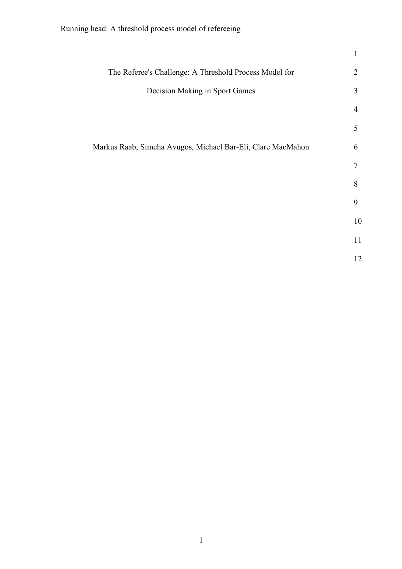|                                                             | $\mathbf{1}$   |
|-------------------------------------------------------------|----------------|
| The Referee's Challenge: A Threshold Process Model for      | $\overline{2}$ |
| Decision Making in Sport Games                              | 3              |
|                                                             | 4              |
|                                                             | 5              |
| Markus Raab, Simcha Avugos, Michael Bar-Eli, Clare MacMahon | 6              |
|                                                             | 7              |
|                                                             | 8              |
|                                                             | 9              |
|                                                             | 10             |
|                                                             | 11             |
|                                                             | 12             |
|                                                             |                |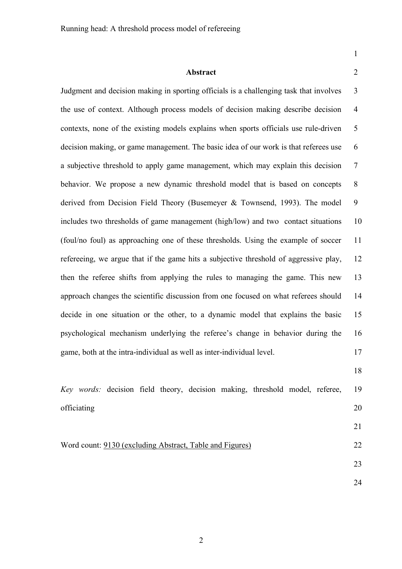1

### **Abstract** 2

Judgment and decision making in sporting officials is a challenging task that involves 3 the use of context. Although process models of decision making describe decision 4 contexts, none of the existing models explains when sports officials use rule-driven 5 decision making, or game management. The basic idea of our work is that referees use 6 a subjective threshold to apply game management, which may explain this decision 7 behavior. We propose a new dynamic threshold model that is based on concepts 8 derived from Decision Field Theory (Busemeyer & Townsend, 1993). The model 9 includes two thresholds of game management (high/low) and two contact situations 10 (foul/no foul) as approaching one of these thresholds. Using the example of soccer 11 refereeing, we argue that if the game hits a subjective threshold of aggressive play, 12 then the referee shifts from applying the rules to managing the game. This new 13 approach changes the scientific discussion from one focused on what referees should 14 decide in one situation or the other, to a dynamic model that explains the basic 15 psychological mechanism underlying the referee's change in behavior during the 16 game, both at the intra-individual as well as inter-individual level. 17

18

|             |  |  | Key words: decision field theory, decision making, threshold model, referee, |  | -19 |
|-------------|--|--|------------------------------------------------------------------------------|--|-----|
| officiating |  |  |                                                                              |  |     |

### Word count: 9130 (excluding Abstract, Table and Figures) 22

23

21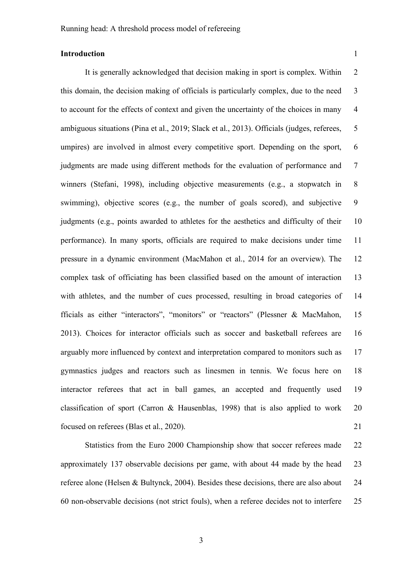## **Introduction** 1

It is generally acknowledged that decision making in sport is complex. Within 2 this domain, the decision making of officials is particularly complex, due to the need 3 to account for the effects of context and given the uncertainty of the choices in many 4 ambiguous situations (Pina et al., 2019; Slack et al., 2013). Officials (judges, referees, 5 umpires) are involved in almost every competitive sport. Depending on the sport, 6 judgments are made using different methods for the evaluation of performance and 7 winners (Stefani, 1998), including objective measurements (e.g., a stopwatch in 8 swimming), objective scores (e.g., the number of goals scored), and subjective 9 judgments (e.g., points awarded to athletes for the aesthetics and difficulty of their 10 performance). In many sports, officials are required to make decisions under time 11 pressure in a dynamic environment (MacMahon et al., 2014 for an overview). The 12 complex task of officiating has been classified based on the amount of interaction 13 with athletes, and the number of cues processed, resulting in broad categories of 14 fficials as either "interactors", "monitors" or "reactors" (Plessner & MacMahon, 15 2013). Choices for interactor officials such as soccer and basketball referees are 16 arguably more influenced by context and interpretation compared to monitors such as 17 gymnastics judges and reactors such as linesmen in tennis. We focus here on 18 interactor referees that act in ball games, an accepted and frequently used 19 classification of sport (Carron & Hausenblas, 1998) that is also applied to work 20 focused on referees (Blas et al., 2020). 21

Statistics from the Euro 2000 Championship show that soccer referees made 22 approximately 137 observable decisions per game, with about 44 made by the head 23 referee alone (Helsen & Bultynck, 2004). Besides these decisions, there are also about 24 60 non-observable decisions (not strict fouls), when a referee decides not to interfere 25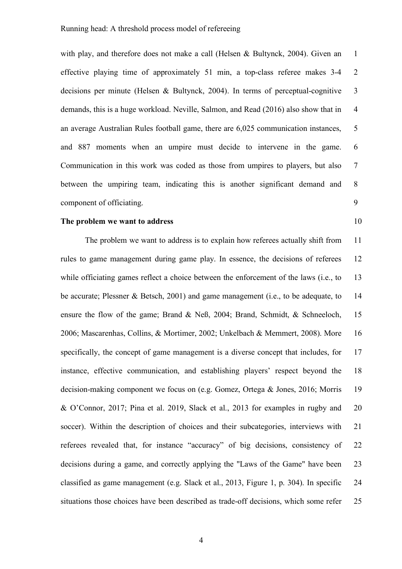with play, and therefore does not make a call (Helsen & Bultynck, 2004). Given an 1 effective playing time of approximately 51 min, a top-class referee makes 3-4 2 decisions per minute (Helsen & Bultynck, 2004). In terms of perceptual-cognitive 3 demands, this is a huge workload. Neville, Salmon, and Read (2016) also show that in 4 an average Australian Rules football game, there are 6,025 communication instances, 5 and 887 moments when an umpire must decide to intervene in the game. 6 Communication in this work was coded as those from umpires to players, but also 7 between the umpiring team, indicating this is another significant demand and 8 component of officiating. 9

### **The problem we want to address** 10

The problem we want to address is to explain how referees actually shift from 11 rules to game management during game play. In essence, the decisions of referees 12 while officiating games reflect a choice between the enforcement of the laws (i.e., to 13 be accurate; Plessner & Betsch, 2001) and game management (i.e., to be adequate, to 14 ensure the flow of the game; Brand & Neß, 2004; Brand, Schmidt, & Schneeloch, 15 2006; Mascarenhas, Collins, & Mortimer, 2002; Unkelbach & Memmert, 2008). More 16 specifically, the concept of game management is a diverse concept that includes, for 17 instance, effective communication, and establishing players' respect beyond the 18 decision-making component we focus on (e.g. Gomez, Ortega & Jones, 2016; Morris 19 & O'Connor, 2017; Pina et al. 2019, Slack et al., 2013 for examples in rugby and 20 soccer). Within the description of choices and their subcategories, interviews with 21 referees revealed that, for instance "accuracy" of big decisions, consistency of 22 decisions during a game, and correctly applying the "Laws of the Game" have been 23 classified as game management (e.g. Slack et al., 2013, Figure 1, p. 304). In specific 24 situations those choices have been described as trade-off decisions, which some refer 25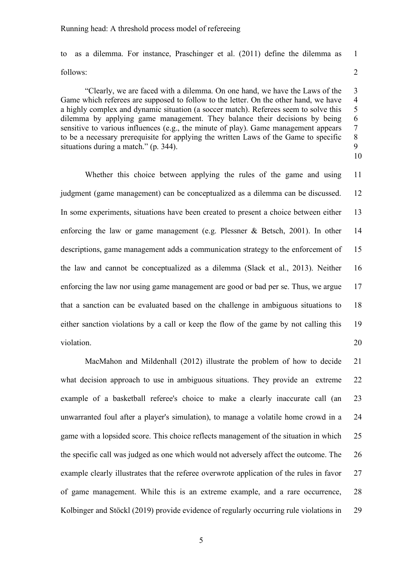to as a dilemma. For instance, Praschinger et al. (2011) define the dilemma as 1 follows: 2

"Clearly, we are faced with a dilemma. On one hand, we have the Laws of the 3 Game which referees are supposed to follow to the letter. On the other hand, we have 4 a highly complex and dynamic situation (a soccer match). Referees seem to solve this 5 dilemma by applying game management. They balance their decisions by being 6 sensitive to various influences (e.g., the minute of play). Game management appears 7 to be a necessary prerequisite for applying the written Laws of the Game to specific 8 to be a necessary prerequisite for applying the written Laws of the Game to specific 8 situations during a match." (p. 344). 10

Whether this choice between applying the rules of the game and using 11 judgment (game management) can be conceptualized as a dilemma can be discussed. 12 In some experiments, situations have been created to present a choice between either 13 enforcing the law or game management (e.g. Plessner & Betsch, 2001). In other 14 descriptions, game management adds a communication strategy to the enforcement of 15 the law and cannot be conceptualized as a dilemma (Slack et al., 2013). Neither 16 enforcing the law nor using game management are good or bad per se. Thus, we argue 17 that a sanction can be evaluated based on the challenge in ambiguous situations to 18 either sanction violations by a call or keep the flow of the game by not calling this 19 violation. 20

MacMahon and Mildenhall (2012) illustrate the problem of how to decide 21 what decision approach to use in ambiguous situations. They provide an extreme 22 example of a basketball referee's choice to make a clearly inaccurate call (an 23 unwarranted foul after a player's simulation), to manage a volatile home crowd in a 24 game with a lopsided score. This choice reflects management of the situation in which 25 the specific call was judged as one which would not adversely affect the outcome. The 26 example clearly illustrates that the referee overwrote application of the rules in favor 27 of game management. While this is an extreme example, and a rare occurrence, 28 Kolbinger and Stöckl (2019) provide evidence of regularly occurring rule violations in 29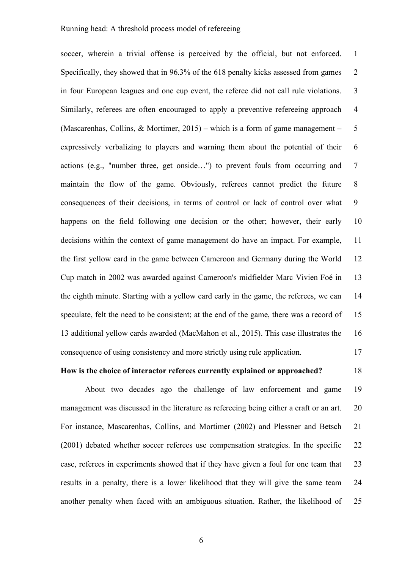soccer, wherein a trivial offense is perceived by the official, but not enforced. 1 Specifically, they showed that in 96.3% of the 618 penalty kicks assessed from games 2 in four European leagues and one cup event, the referee did not call rule violations. 3 Similarly, referees are often encouraged to apply a preventive refereeing approach 4 (Mascarenhas, Collins, & Mortimer, 2015) – which is a form of game management – 5 expressively verbalizing to players and warning them about the potential of their 6 actions (e.g., "number three, get onside…") to prevent fouls from occurring and 7 maintain the flow of the game. Obviously, referees cannot predict the future 8 consequences of their decisions, in terms of control or lack of control over what 9 happens on the field following one decision or the other; however, their early 10 decisions within the context of game management do have an impact. For example, 11 the first yellow card in the game between Cameroon and Germany during the World 12 Cup match in 2002 was awarded against Cameroon's midfielder Marc Vivien Foé in 13 the eighth minute. Starting with a yellow card early in the game, the referees, we can 14 speculate, felt the need to be consistent; at the end of the game, there was a record of 15 13 additional yellow cards awarded (MacMahon et al., 2015). This case illustrates the 16 consequence of using consistency and more strictly using rule application. 17

# **How is the choice of interactor referees currently explained or approached?** 18

About two decades ago the challenge of law enforcement and game 19 management was discussed in the literature as refereeing being either a craft or an art. 20 For instance, Mascarenhas, Collins, and Mortimer (2002) and Plessner and Betsch 21 (2001) debated whether soccer referees use compensation strategies. In the specific 22 case, referees in experiments showed that if they have given a foul for one team that 23 results in a penalty, there is a lower likelihood that they will give the same team 24 another penalty when faced with an ambiguous situation. Rather, the likelihood of 25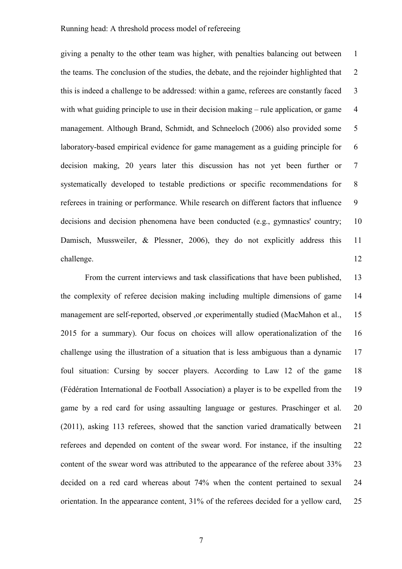giving a penalty to the other team was higher, with penalties balancing out between 1 the teams. The conclusion of the studies, the debate, and the rejoinder highlighted that 2 this is indeed a challenge to be addressed: within a game, referees are constantly faced 3 with what guiding principle to use in their decision making  $-$  rule application, or game  $4$ management. Although Brand, Schmidt, and Schneeloch (2006) also provided some 5 laboratory-based empirical evidence for game management as a guiding principle for 6 decision making, 20 years later this discussion has not yet been further or 7 systematically developed to testable predictions or specific recommendations for 8 referees in training or performance. While research on different factors that influence 9 decisions and decision phenomena have been conducted (e.g., gymnastics' country; 10 Damisch, Mussweiler, & Plessner, 2006), they do not explicitly address this 11 challenge. 12

From the current interviews and task classifications that have been published, 13 the complexity of referee decision making including multiple dimensions of game 14 management are self-reported, observed , or experimentally studied (MacMahon et al., 15 2015 for a summary). Our focus on choices will allow operationalization of the 16 challenge using the illustration of a situation that is less ambiguous than a dynamic 17 foul situation: Cursing by soccer players. According to Law 12 of the game 18 (Fédération International de Football Association) a player is to be expelled from the 19 game by a red card for using assaulting language or gestures. Praschinger et al. 20 (2011), asking 113 referees, showed that the sanction varied dramatically between 21 referees and depended on content of the swear word. For instance, if the insulting 22 content of the swear word was attributed to the appearance of the referee about 33% 23 decided on a red card whereas about 74% when the content pertained to sexual 24 orientation. In the appearance content, 31% of the referees decided for a yellow card, 25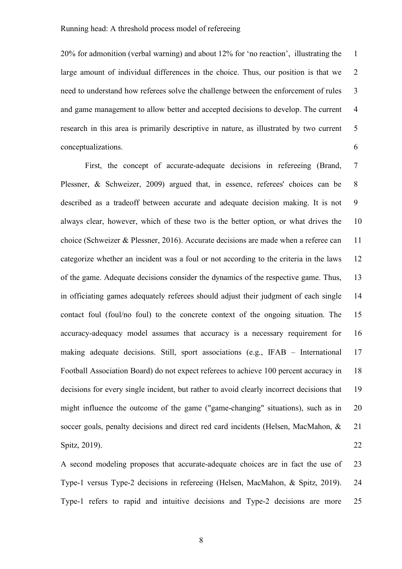20% for admonition (verbal warning) and about 12% for 'no reaction', illustrating the 1 large amount of individual differences in the choice. Thus, our position is that we 2 need to understand how referees solve the challenge between the enforcement of rules 3 and game management to allow better and accepted decisions to develop. The current 4 research in this area is primarily descriptive in nature, as illustrated by two current 5 conceptualizations. 6

First, the concept of accurate-adequate decisions in refereeing (Brand, 7 Plessner, & Schweizer, 2009) argued that, in essence, referees' choices can be 8 described as a tradeoff between accurate and adequate decision making. It is not 9 always clear, however, which of these two is the better option, or what drives the 10 choice (Schweizer & Plessner, 2016). Accurate decisions are made when a referee can 11 categorize whether an incident was a foul or not according to the criteria in the laws 12 of the game. Adequate decisions consider the dynamics of the respective game. Thus, 13 in officiating games adequately referees should adjust their judgment of each single 14 contact foul (foul/no foul) to the concrete context of the ongoing situation. The 15 accuracy-adequacy model assumes that accuracy is a necessary requirement for 16 making adequate decisions. Still, sport associations (e.g., IFAB – International 17 Football Association Board) do not expect referees to achieve 100 percent accuracy in 18 decisions for every single incident, but rather to avoid clearly incorrect decisions that 19 might influence the outcome of the game ("game-changing" situations), such as in 20 soccer goals, penalty decisions and direct red card incidents (Helsen, MacMahon, & 21 Spitz, 2019). 22

A second modeling proposes that accurate-adequate choices are in fact the use of 23 Type-1 versus Type-2 decisions in refereeing (Helsen, MacMahon, & Spitz, 2019). 24 Type-1 refers to rapid and intuitive decisions and Type-2 decisions are more 25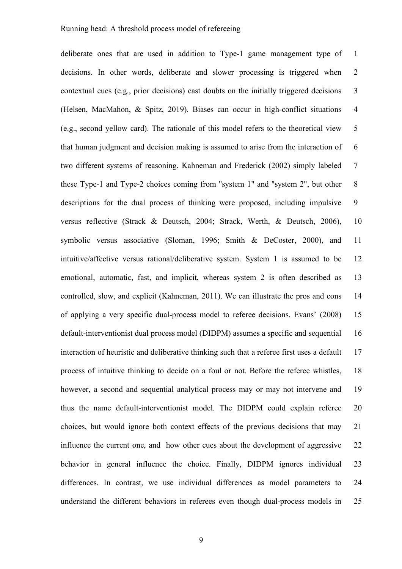deliberate ones that are used in addition to Type-1 game management type of 1 decisions. In other words, deliberate and slower processing is triggered when 2 contextual cues (e.g., prior decisions) cast doubts on the initially triggered decisions 3 (Helsen, MacMahon, & Spitz, 2019). Biases can occur in high-conflict situations 4 (e.g., second yellow card). The rationale of this model refers to the theoretical view 5 that human judgment and decision making is assumed to arise from the interaction of 6 two different systems of reasoning. Kahneman and Frederick (2002) simply labeled 7 these Type-1 and Type-2 choices coming from "system 1" and "system 2", but other 8 descriptions for the dual process of thinking were proposed, including impulsive 9 versus reflective (Strack & Deutsch, 2004; Strack, Werth, & Deutsch, 2006), 10 symbolic versus associative (Sloman, 1996; Smith & DeCoster, 2000), and 11 intuitive/affective versus rational/deliberative system. System 1 is assumed to be 12 emotional, automatic, fast, and implicit, whereas system 2 is often described as 13 controlled, slow, and explicit (Kahneman, 2011). We can illustrate the pros and cons 14 of applying a very specific dual-process model to referee decisions. Evans' (2008) 15 default-interventionist dual process model (DIDPM) assumes a specific and sequential 16 interaction of heuristic and deliberative thinking such that a referee first uses a default 17 process of intuitive thinking to decide on a foul or not. Before the referee whistles, 18 however, a second and sequential analytical process may or may not intervene and 19 thus the name default-interventionist model. The DIDPM could explain referee 20 choices, but would ignore both context effects of the previous decisions that may 21 influence the current one, and how other cues about the development of aggressive 22 behavior in general influence the choice. Finally, DIDPM ignores individual 23 differences. In contrast, we use individual differences as model parameters to 24 understand the different behaviors in referees even though dual-process models in 25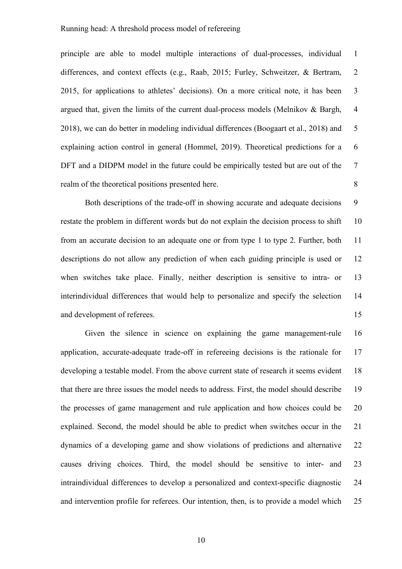principle are able to model multiple interactions of dual-processes, individual 1 differences, and context effects (e.g., Raab, 2015; Furley, Schweitzer, & Bertram, 2 2015, for applications to athletes' decisions). On a more critical note, it has been 3 argued that, given the limits of the current dual-process models (Melnikov  $\&$  Bargh, 4 2018), we can do better in modeling individual differences (Boogaart et al., 2018) and 5 explaining action control in general (Hommel, 2019). Theoretical predictions for a 6 DFT and a DIDPM model in the future could be empirically tested but are out of the 7 realm of the theoretical positions presented here. 8

Both descriptions of the trade-off in showing accurate and adequate decisions 9 restate the problem in different words but do not explain the decision process to shift 10 from an accurate decision to an adequate one or from type 1 to type 2. Further, both 11 descriptions do not allow any prediction of when each guiding principle is used or 12 when switches take place. Finally, neither description is sensitive to intra- or 13 interindividual differences that would help to personalize and specify the selection 14 and development of referees. 15

Given the silence in science on explaining the game management-rule 16 application, accurate-adequate trade-off in refereeing decisions is the rationale for 17 developing a testable model. From the above current state of research it seems evident 18 that there are three issues the model needs to address. First, the model should describe 19 the processes of game management and rule application and how choices could be 20 explained. Second, the model should be able to predict when switches occur in the 21 dynamics of a developing game and show violations of predictions and alternative 22 causes driving choices. Third, the model should be sensitive to inter- and 23 intraindividual differences to develop a personalized and context-specific diagnostic 24 and intervention profile for referees. Our intention, then, is to provide a model which 25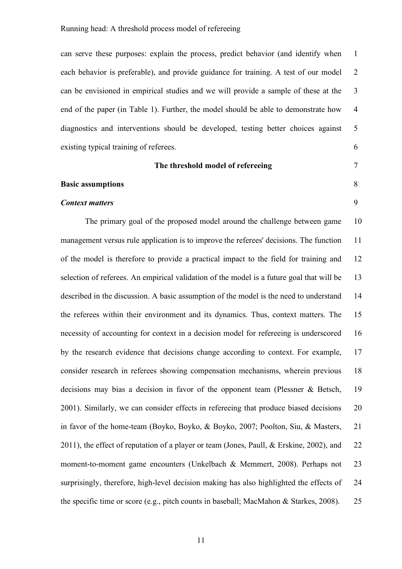can serve these purposes: explain the process, predict behavior (and identify when 1 each behavior is preferable), and provide guidance for training. A test of our model 2 can be envisioned in empirical studies and we will provide a sample of these at the 3 end of the paper (in Table 1). Further, the model should be able to demonstrate how 4 diagnostics and interventions should be developed, testing better choices against 5 existing typical training of referees. 6

#### **The threshold model of refereeing** 7

**Basic assumptions** 8

# *Context matters* 9

The primary goal of the proposed model around the challenge between game 10 management versus rule application is to improve the referees' decisions. The function 11 of the model is therefore to provide a practical impact to the field for training and 12 selection of referees. An empirical validation of the model is a future goal that will be 13 described in the discussion. A basic assumption of the model is the need to understand 14 the referees within their environment and its dynamics. Thus, context matters. The 15 necessity of accounting for context in a decision model for refereeing is underscored 16 by the research evidence that decisions change according to context. For example, 17 consider research in referees showing compensation mechanisms, wherein previous 18 decisions may bias a decision in favor of the opponent team (Plessner & Betsch, 19 2001). Similarly, we can consider effects in refereeing that produce biased decisions 20 in favor of the home-team (Boyko, Boyko, & Boyko, 2007; Poolton, Siu, & Masters, 21 2011), the effect of reputation of a player or team (Jones, Paull, & Erskine, 2002), and 22 moment-to-moment game encounters (Unkelbach & Memmert, 2008). Perhaps not 23 surprisingly, therefore, high-level decision making has also highlighted the effects of 24 the specific time or score (e.g., pitch counts in baseball; MacMahon & Starkes, 2008). 25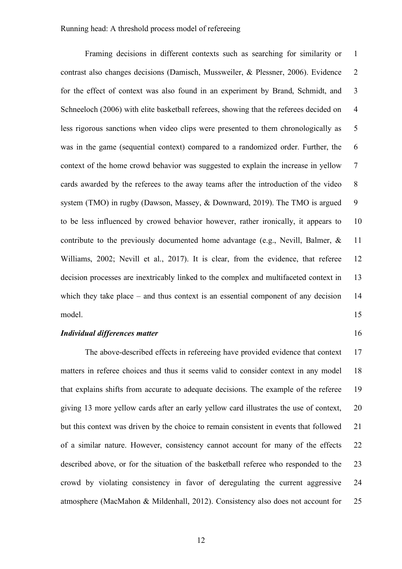Framing decisions in different contexts such as searching for similarity or 1 contrast also changes decisions (Damisch, Mussweiler, & Plessner, 2006). Evidence 2 for the effect of context was also found in an experiment by Brand, Schmidt, and 3 Schneeloch (2006) with elite basketball referees, showing that the referees decided on 4 less rigorous sanctions when video clips were presented to them chronologically as 5 was in the game (sequential context) compared to a randomized order. Further, the 6 context of the home crowd behavior was suggested to explain the increase in yellow 7 cards awarded by the referees to the away teams after the introduction of the video 8 system (TMO) in rugby (Dawson, Massey, & Downward, 2019). The TMO is argued 9 to be less influenced by crowed behavior however, rather ironically, it appears to 10 contribute to the previously documented home advantage (e.g., Nevill, Balmer, & 11 Williams, 2002; Nevill et al., 2017). It is clear, from the evidence, that referee 12 decision processes are inextricably linked to the complex and multifaceted context in 13 which they take place – and thus context is an essential component of any decision 14 model. The state of the state of the state of the state of the state of the state of the state of the state of the state of the state of the state of the state of the state of the state of the state of the state of the sta

#### *Individual differences matter* 16

The above-described effects in refereeing have provided evidence that context 17 matters in referee choices and thus it seems valid to consider context in any model 18 that explains shifts from accurate to adequate decisions. The example of the referee 19 giving 13 more yellow cards after an early yellow card illustrates the use of context, 20 but this context was driven by the choice to remain consistent in events that followed 21 of a similar nature. However, consistency cannot account for many of the effects 22 described above, or for the situation of the basketball referee who responded to the 23 crowd by violating consistency in favor of deregulating the current aggressive 24 atmosphere (MacMahon & Mildenhall, 2012). Consistency also does not account for 25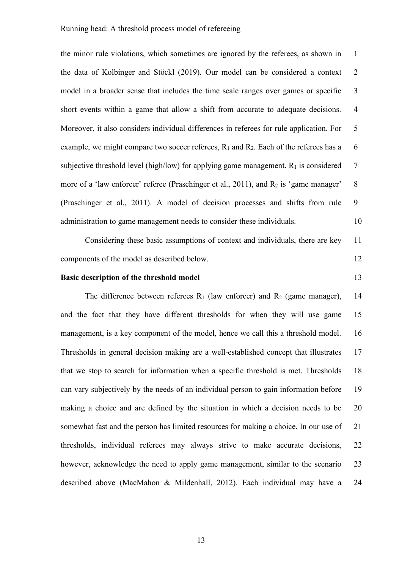the minor rule violations, which sometimes are ignored by the referees, as shown in 1 the data of Kolbinger and Stöckl (2019). Our model can be considered a context 2 model in a broader sense that includes the time scale ranges over games or specific 3 short events within a game that allow a shift from accurate to adequate decisions. 4 Moreover, it also considers individual differences in referees for rule application. For 5 example, we might compare two soccer referees,  $R_1$  and  $R_2$ . Each of the referees has a 6 subjective threshold level (high/low) for applying game management.  $R_1$  is considered  $7$ more of a 'law enforcer' referee (Praschinger et al., 2011), and  $R_2$  is 'game manager' 8 (Praschinger et al., 2011). A model of decision processes and shifts from rule 9 administration to game management needs to consider these individuals. 10

Considering these basic assumptions of context and individuals, there are key 11 components of the model as described below. 12

### **Basic description of the threshold model** 13

The difference between referees  $R_1$  (law enforcer) and  $R_2$  (game manager), 14 and the fact that they have different thresholds for when they will use game 15 management, is a key component of the model, hence we call this a threshold model. 16 Thresholds in general decision making are a well-established concept that illustrates 17 that we stop to search for information when a specific threshold is met. Thresholds 18 can vary subjectively by the needs of an individual person to gain information before 19 making a choice and are defined by the situation in which a decision needs to be 20 somewhat fast and the person has limited resources for making a choice. In our use of 21 thresholds, individual referees may always strive to make accurate decisions, 22 however, acknowledge the need to apply game management, similar to the scenario 23 described above (MacMahon & Mildenhall, 2012). Each individual may have a 24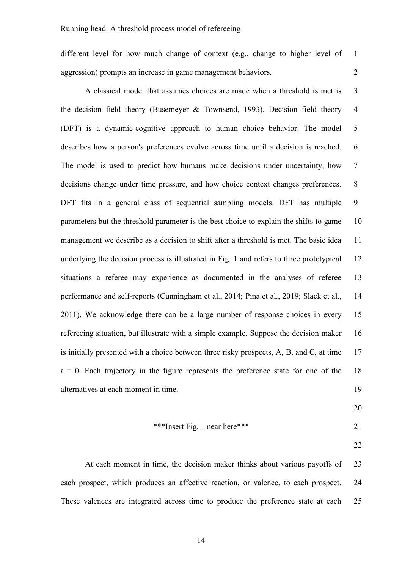different level for how much change of context (e.g., change to higher level of 1 aggression) prompts an increase in game management behaviors. 2

A classical model that assumes choices are made when a threshold is met is 3 the decision field theory (Busemeyer  $\&$  Townsend, 1993). Decision field theory 4 (DFT) is a dynamic-cognitive approach to human choice behavior. The model 5 describes how a person's preferences evolve across time until a decision is reached. 6 The model is used to predict how humans make decisions under uncertainty, how 7 decisions change under time pressure, and how choice context changes preferences. 8 DFT fits in a general class of sequential sampling models. DFT has multiple 9 parameters but the threshold parameter is the best choice to explain the shifts to game 10 management we describe as a decision to shift after a threshold is met. The basic idea 11 underlying the decision process is illustrated in Fig. 1 and refers to three prototypical 12 situations a referee may experience as documented in the analyses of referee 13 performance and self-reports (Cunningham et al., 2014; Pina et al., 2019; Slack et al., 14 2011). We acknowledge there can be a large number of response choices in every 15 refereeing situation, but illustrate with a simple example. Suppose the decision maker 16 is initially presented with a choice between three risky prospects, A, B, and C, at time 17  $t = 0$ . Each trajectory in the figure represents the preference state for one of the 18 alternatives at each moment in time. 19

20

#### \*\*\*Insert Fig. 1 near here\*\*\* 21

22

At each moment in time, the decision maker thinks about various payoffs of 23 each prospect, which produces an affective reaction, or valence, to each prospect. 24 These valences are integrated across time to produce the preference state at each 25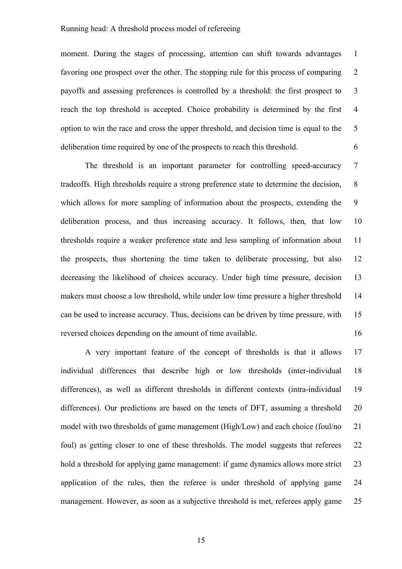moment. During the stages of processing, attention can shift towards advantages 1 favoring one prospect over the other. The stopping rule for this process of comparing 2 payoffs and assessing preferences is controlled by a threshold: the first prospect to 3 reach the top threshold is accepted. Choice probability is determined by the first 4 option to win the race and cross the upper threshold, and decision time is equal to the 5 deliberation time required by one of the prospects to reach this threshold. 6

The threshold is an important parameter for controlling speed-accuracy 7 tradeoffs. High thresholds require a strong preference state to determine the decision, 8 which allows for more sampling of information about the prospects, extending the 9 deliberation process, and thus increasing accuracy. It follows, then, that low 10 thresholds require a weaker preference state and less sampling of information about 11 the prospects, thus shortening the time taken to deliberate processing, but also 12 decreasing the likelihood of choices accuracy. Under high time pressure, decision 13 makers must choose a low threshold, while under low time pressure a higher threshold 14 can be used to increase accuracy. Thus, decisions can be driven by time pressure, with 15 reversed choices depending on the amount of time available. 16

A very important feature of the concept of thresholds is that it allows 17 individual differences that describe high or low thresholds (inter-individual 18 differences), as well as different thresholds in different contexts (intra-individual 19 differences). Our predictions are based on the tenets of DFT, assuming a threshold 20 model with two thresholds of game management (High/Low) and each choice (foul/no 21 foul) as getting closer to one of these thresholds. The model suggests that referees 22 hold a threshold for applying game management: if game dynamics allows more strict 23 application of the rules, then the referee is under threshold of applying game 24 management. However, as soon as a subjective threshold is met, referees apply game 25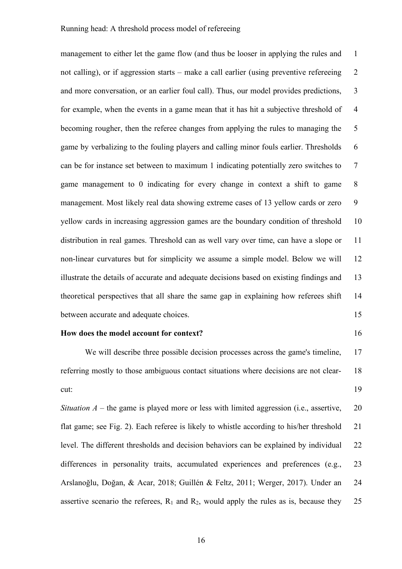management to either let the game flow (and thus be looser in applying the rules and 1 not calling), or if aggression starts – make a call earlier (using preventive refereeing 2 and more conversation, or an earlier foul call). Thus, our model provides predictions, 3 for example, when the events in a game mean that it has hit a subjective threshold of 4 becoming rougher, then the referee changes from applying the rules to managing the 5 game by verbalizing to the fouling players and calling minor fouls earlier. Thresholds 6 can be for instance set between to maximum 1 indicating potentially zero switches to 7 game management to 0 indicating for every change in context a shift to game 8 management. Most likely real data showing extreme cases of 13 yellow cards or zero 9 yellow cards in increasing aggression games are the boundary condition of threshold 10 distribution in real games. Threshold can as well vary over time, can have a slope or 11 non-linear curvatures but for simplicity we assume a simple model. Below we will 12 illustrate the details of accurate and adequate decisions based on existing findings and 13 theoretical perspectives that all share the same gap in explaining how referees shift 14 between accurate and adequate choices. 15

#### **How does the model account for context?** 16

We will describe three possible decision processes across the game's timeline, 17 referring mostly to those ambiguous contact situations where decisions are not clear- 18 cut: 19

*Situation A* – the game is played more or less with limited aggression (i.e., assertive, 20 flat game; see Fig. 2). Each referee is likely to whistle according to his/her threshold 21 level. The different thresholds and decision behaviors can be explained by individual 22 differences in personality traits, accumulated experiences and preferences (e.g., 23 Arslanoğlu, Doğan, & Acar, 2018; Guillén & Feltz, 2011; Werger, 2017). Under an 24 assertive scenario the referees,  $R_1$  and  $R_2$ , would apply the rules as is, because they 25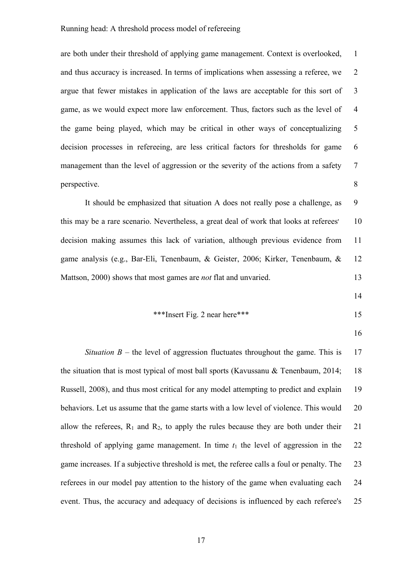are both under their threshold of applying game management. Context is overlooked, 1 and thus accuracy is increased. In terms of implications when assessing a referee, we 2 argue that fewer mistakes in application of the laws are acceptable for this sort of 3 game, as we would expect more law enforcement. Thus, factors such as the level of 4 the game being played, which may be critical in other ways of conceptualizing 5 decision processes in refereeing, are less critical factors for thresholds for game 6 management than the level of aggression or the severity of the actions from a safety 7 perspective. 8

It should be emphasized that situation A does not really pose a challenge, as 9 this may be a rare scenario. Nevertheless, a great deal of work that looks at referees' 10 decision making assumes this lack of variation, although previous evidence from 11 game analysis (e.g., Bar-Eli, Tenenbaum, & Geister, 2006; Kirker, Tenenbaum, & 12 Mattson, 2000) shows that most games are *not* flat and unvaried. 13

14

$$
***Insert Fig. 2 near here***
$$

16

*Situation B – the level of aggression fluctuates throughout the game. This is* 17 the situation that is most typical of most ball sports (Kavussanu & Tenenbaum, 2014; 18 Russell, 2008), and thus most critical for any model attempting to predict and explain 19 behaviors. Let us assume that the game starts with a low level of violence. This would 20 allow the referees,  $R_1$  and  $R_2$ , to apply the rules because they are both under their 21 threshold of applying game management. In time  $t_1$  the level of aggression in the 22 game increases. If a subjective threshold is met, the referee calls a foul or penalty. The 23 referees in our model pay attention to the history of the game when evaluating each 24 event. Thus, the accuracy and adequacy of decisions is influenced by each referee's 25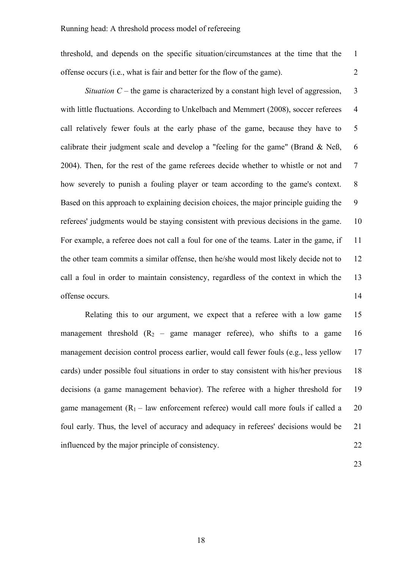threshold, and depends on the specific situation/circumstances at the time that the 1 offense occurs (i.e., what is fair and better for the flow of the game). 2

*Situation C* – the game is characterized by a constant high level of aggression,  $\overline{3}$ with little fluctuations. According to Unkelbach and Memmert (2008), soccer referees 4 call relatively fewer fouls at the early phase of the game, because they have to 5 calibrate their judgment scale and develop a "feeling for the game" (Brand  $\&$  Neß, 6 2004). Then, for the rest of the game referees decide whether to whistle or not and 7 how severely to punish a fouling player or team according to the game's context. 8 Based on this approach to explaining decision choices, the major principle guiding the 9 referees' judgments would be staying consistent with previous decisions in the game. 10 For example, a referee does not call a foul for one of the teams. Later in the game, if 11 the other team commits a similar offense, then he/she would most likely decide not to 12 call a foul in order to maintain consistency, regardless of the context in which the 13 offense occurs. 14

Relating this to our argument, we expect that a referee with a low game 15 management threshold  $(R_2 - \text{game manager reference})$ , who shifts to a game 16 management decision control process earlier, would call fewer fouls (e.g., less yellow 17 cards) under possible foul situations in order to stay consistent with his/her previous 18 decisions (a game management behavior). The referee with a higher threshold for 19 game management  $(R_1 - law$  enforcement referee) would call more fouls if called a 20 foul early. Thus, the level of accuracy and adequacy in referees' decisions would be 21 influenced by the major principle of consistency. 22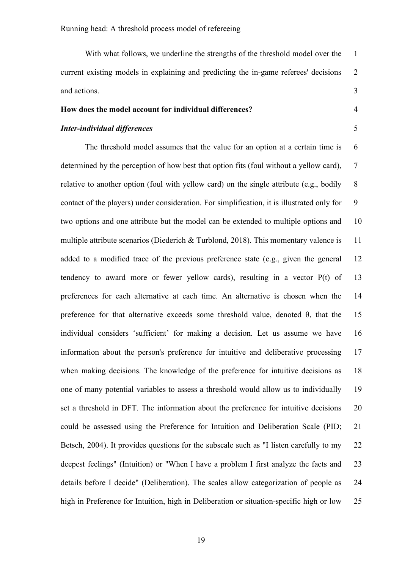With what follows, we underline the strengths of the threshold model over the 1 current existing models in explaining and predicting the in-game referees' decisions 2 and actions. 3

### **How does the model account for individual differences?** 4

# *Inter-individual differences* 5

The threshold model assumes that the value for an option at a certain time is 6 determined by the perception of how best that option fits (foul without a yellow card), 7 relative to another option (foul with yellow card) on the single attribute (e.g., bodily 8 contact of the players) under consideration. For simplification, it is illustrated only for 9 two options and one attribute but the model can be extended to multiple options and 10 multiple attribute scenarios (Diederich & Turblond, 2018). This momentary valence is 11 added to a modified trace of the previous preference state (e.g., given the general 12 tendency to award more or fewer yellow cards), resulting in a vector P(t) of 13 preferences for each alternative at each time. An alternative is chosen when the 14 preference for that alternative exceeds some threshold value, denoted  $\theta$ , that the 15 individual considers 'sufficient' for making a decision. Let us assume we have 16 information about the person's preference for intuitive and deliberative processing 17 when making decisions. The knowledge of the preference for intuitive decisions as 18 one of many potential variables to assess a threshold would allow us to individually 19 set a threshold in DFT. The information about the preference for intuitive decisions 20 could be assessed using the Preference for Intuition and Deliberation Scale (PID; 21 Betsch, 2004). It provides questions for the subscale such as "I listen carefully to my 22 deepest feelings" (Intuition) or "When I have a problem I first analyze the facts and 23 details before I decide" (Deliberation). The scales allow categorization of people as 24 high in Preference for Intuition, high in Deliberation or situation-specific high or low 25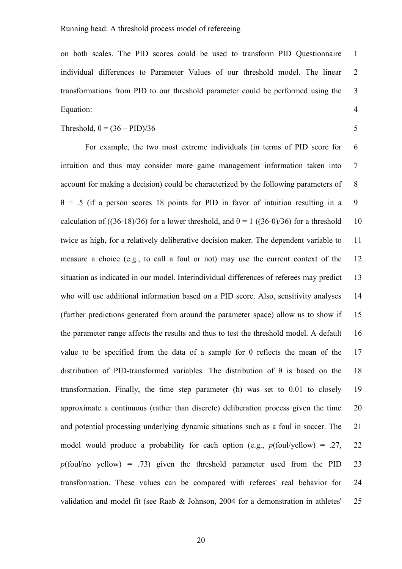on both scales. The PID scores could be used to transform PID Questionnaire 1 individual differences to Parameter Values of our threshold model. The linear 2 transformations from PID to our threshold parameter could be performed using the 3 Equation: 4

$$
Threshold,  $\theta = (36 - PID)/36$
$$
 5

For example, the two most extreme individuals (in terms of PID score for 6 intuition and thus may consider more game management information taken into 7 account for making a decision) could be characterized by the following parameters of 8  $\theta$  = .5 (if a person scores 18 points for PID in favor of intuition resulting in a 9 calculation of ((36-18)/36) for a lower threshold, and  $\theta = 1$  ((36-0)/36) for a threshold 10 twice as high, for a relatively deliberative decision maker. The dependent variable to 11 measure a choice (e.g., to call a foul or not) may use the current context of the 12 situation as indicated in our model. Interindividual differences of referees may predict 13 who will use additional information based on a PID score. Also, sensitivity analyses 14 (further predictions generated from around the parameter space) allow us to show if 15 the parameter range affects the results and thus to test the threshold model. A default 16 value to be specified from the data of a sample for  $\theta$  reflects the mean of the 17 distribution of PID-transformed variables. The distribution of  $\theta$  is based on the 18 transformation. Finally, the time step parameter (h) was set to 0.01 to closely 19 approximate a continuous (rather than discrete) deliberation process given the time 20 and potential processing underlying dynamic situations such as a foul in soccer. The 21 model would produce a probability for each option (e.g.,  $p(\text{foul/yellow}) = .27, 22$  $p$ (foul/no yellow) = .73) given the threshold parameter used from the PID 23 transformation. These values can be compared with referees' real behavior for 24 validation and model fit (see Raab & Johnson, 2004 for a demonstration in athletes' 25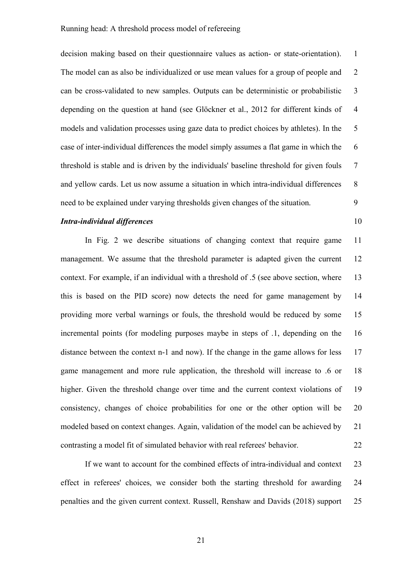decision making based on their questionnaire values as action- or state-orientation). 1 The model can as also be individualized or use mean values for a group of people and 2 can be cross-validated to new samples. Outputs can be deterministic or probabilistic 3 depending on the question at hand (see Glöckner et al., 2012 for different kinds of 4 models and validation processes using gaze data to predict choices by athletes). In the 5 case of inter-individual differences the model simply assumes a flat game in which the 6 threshold is stable and is driven by the individuals' baseline threshold for given fouls 7 and yellow cards. Let us now assume a situation in which intra-individual differences 8 need to be explained under varying thresholds given changes of the situation. 9

## *Intra-individual differences* 10

In Fig. 2 we describe situations of changing context that require game 11 management. We assume that the threshold parameter is adapted given the current 12 context. For example, if an individual with a threshold of .5 (see above section, where 13 this is based on the PID score) now detects the need for game management by 14 providing more verbal warnings or fouls, the threshold would be reduced by some 15 incremental points (for modeling purposes maybe in steps of .1, depending on the 16 distance between the context n-1 and now). If the change in the game allows for less 17 game management and more rule application, the threshold will increase to .6 or 18 higher. Given the threshold change over time and the current context violations of 19 consistency, changes of choice probabilities for one or the other option will be 20 modeled based on context changes. Again, validation of the model can be achieved by 21 contrasting a model fit of simulated behavior with real referees' behavior. 22

If we want to account for the combined effects of intra-individual and context 23 effect in referees' choices, we consider both the starting threshold for awarding 24 penalties and the given current context. Russell, Renshaw and Davids (2018) support 25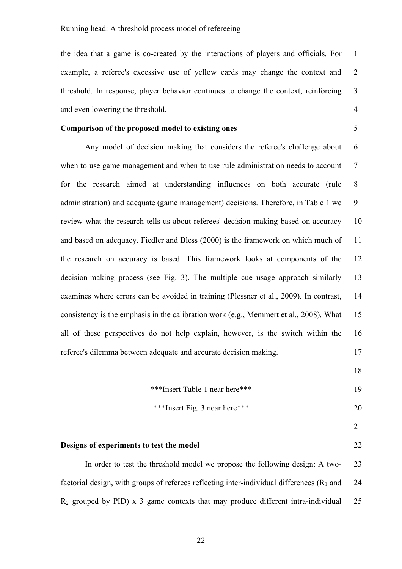the idea that a game is co-created by the interactions of players and officials. For 1 example, a referee's excessive use of yellow cards may change the context and 2 threshold. In response, player behavior continues to change the context, reinforcing 3 and even lowering the threshold. 4

#### **Comparison of the proposed model to existing ones** 5

Any model of decision making that considers the referee's challenge about 6 when to use game management and when to use rule administration needs to account 7 for the research aimed at understanding influences on both accurate (rule 8 administration) and adequate (game management) decisions. Therefore, in Table 1 we 9 review what the research tells us about referees' decision making based on accuracy 10 and based on adequacy. Fiedler and Bless (2000) is the framework on which much of 11 the research on accuracy is based. This framework looks at components of the 12 decision-making process (see Fig. 3). The multiple cue usage approach similarly 13 examines where errors can be avoided in training (Plessner et al., 2009). In contrast, 14 consistency is the emphasis in the calibration work (e.g., Memmert et al., 2008). What 15 all of these perspectives do not help explain, however, is the switch within the 16 referee's dilemma between adequate and accurate decision making. 17

18

21

\*\*\*Insert Table 1 near here\*\*\* 19

$$
***Insert Fig. 3 near here***
$$

**Designs of experiments to test the model** 22

In order to test the threshold model we propose the following design: A two- 23 factorial design, with groups of referees reflecting inter-individual differences  $(R_1 \text{ and } 24)$  $R_2$  grouped by PID) x 3 game contexts that may produce different intra-individual 25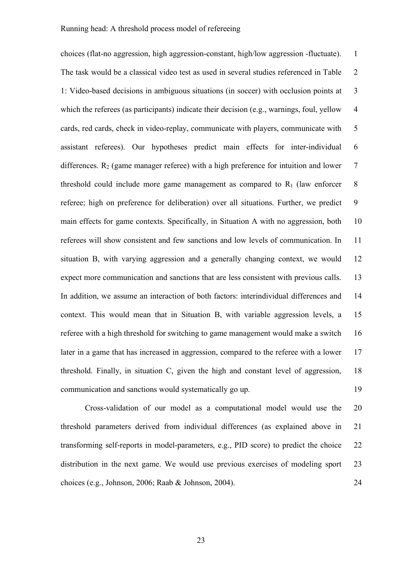choices (flat-no aggression, high aggression-constant, high/low aggression -fluctuate). 1 The task would be a classical video test as used in several studies referenced in Table 2 1: Video-based decisions in ambiguous situations (in soccer) with occlusion points at 3 which the referees (as participants) indicate their decision (e.g., warnings, foul, yellow 4 cards, red cards, check in video-replay, communicate with players, communicate with 5 assistant referees). Our hypotheses predict main effects for inter-individual 6 differences.  $R_2$  (game manager referee) with a high preference for intuition and lower  $7$ threshold could include more game management as compared to  $R_1$  (law enforcer 8 referee; high on preference for deliberation) over all situations. Further, we predict 9 main effects for game contexts. Specifically, in Situation A with no aggression, both 10 referees will show consistent and few sanctions and low levels of communication. In 11 situation B, with varying aggression and a generally changing context, we would 12 expect more communication and sanctions that are less consistent with previous calls. 13 In addition, we assume an interaction of both factors: interindividual differences and 14 context. This would mean that in Situation B, with variable aggression levels, a 15 referee with a high threshold for switching to game management would make a switch 16 later in a game that has increased in aggression, compared to the referee with a lower 17 threshold. Finally, in situation C, given the high and constant level of aggression, 18 communication and sanctions would systematically go up. 19

Cross-validation of our model as a computational model would use the 20 threshold parameters derived from individual differences (as explained above in 21 transforming self-reports in model-parameters, e.g., PID score) to predict the choice 22 distribution in the next game. We would use previous exercises of modeling sport 23 choices (e.g., Johnson, 2006; Raab & Johnson, 2004). 24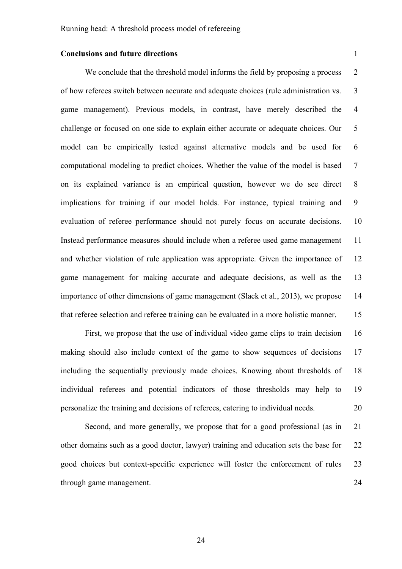### **Conclusions and future directions** 1

We conclude that the threshold model informs the field by proposing a process 2 of how referees switch between accurate and adequate choices (rule administration vs. 3 game management). Previous models, in contrast, have merely described the 4 challenge or focused on one side to explain either accurate or adequate choices. Our 5 model can be empirically tested against alternative models and be used for 6 computational modeling to predict choices. Whether the value of the model is based 7 on its explained variance is an empirical question, however we do see direct 8 implications for training if our model holds. For instance, typical training and 9 evaluation of referee performance should not purely focus on accurate decisions. 10 Instead performance measures should include when a referee used game management 11 and whether violation of rule application was appropriate. Given the importance of 12 game management for making accurate and adequate decisions, as well as the 13 importance of other dimensions of game management (Slack et al., 2013), we propose 14 that referee selection and referee training can be evaluated in a more holistic manner. 15

First, we propose that the use of individual video game clips to train decision 16 making should also include context of the game to show sequences of decisions 17 including the sequentially previously made choices. Knowing about thresholds of 18 individual referees and potential indicators of those thresholds may help to 19 personalize the training and decisions of referees, catering to individual needs. 20

Second, and more generally, we propose that for a good professional (as in 21) other domains such as a good doctor, lawyer) training and education sets the base for 22 good choices but context-specific experience will foster the enforcement of rules 23 through game management. 24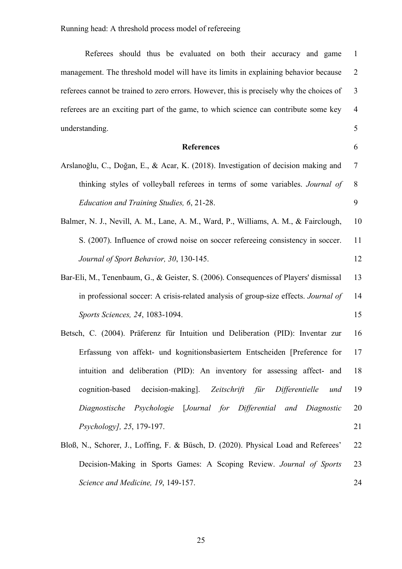| Referees should thus be evaluated on both their accuracy and game                        | $\mathbf{1}$   |
|------------------------------------------------------------------------------------------|----------------|
| management. The threshold model will have its limits in explaining behavior because      | $\overline{2}$ |
| referees cannot be trained to zero errors. However, this is precisely why the choices of | $\overline{3}$ |
| referees are an exciting part of the game, to which science can contribute some key      | $\overline{4}$ |
| understanding.                                                                           | 5              |
| <b>References</b>                                                                        | 6              |
| Arslanoğlu, C., Doğan, E., & Acar, K. (2018). Investigation of decision making and       | $\tau$         |
| thinking styles of volleyball referees in terms of some variables. Journal of            | 8              |
| Education and Training Studies, 6, 21-28.                                                | 9              |
| Balmer, N. J., Nevill, A. M., Lane, A. M., Ward, P., Williams, A. M., & Fairclough,      | 10             |
| S. (2007). Influence of crowd noise on soccer refereeing consistency in soccer.          | 11             |
| Journal of Sport Behavior, 30, 130-145.                                                  | 12             |
| Bar-Eli, M., Tenenbaum, G., & Geister, S. (2006). Consequences of Players' dismissal     | 13             |
| in professional soccer: A crisis-related analysis of group-size effects. Journal of      | 14             |
| Sports Sciences, 24, 1083-1094.                                                          | 15             |
| Betsch, C. (2004). Präferenz für Intuition und Deliberation (PID): Inventar zur          | 16             |
| Erfassung von affekt- und kognitionsbasiertem Entscheiden [Preference for                | 17             |
| intuition and deliberation (PID): An inventory for assessing affect- and                 | 18             |
| cognition-based decision-making]. Zeitschrift für Differentielle<br>und                  | 19             |
| Diagnostische Psychologie [Journal for Differential and Diagnostic                       | 20             |
| Psychology], 25, 179-197.                                                                | 21             |
| Bloß, N., Schorer, J., Loffing, F. & Büsch, D. (2020). Physical Load and Referees'       | 22             |
|                                                                                          |                |

*Science and Medicine, 19*, 149-157. 24

Decision-Making in Sports Games: A Scoping Review. *Journal of Sports* 23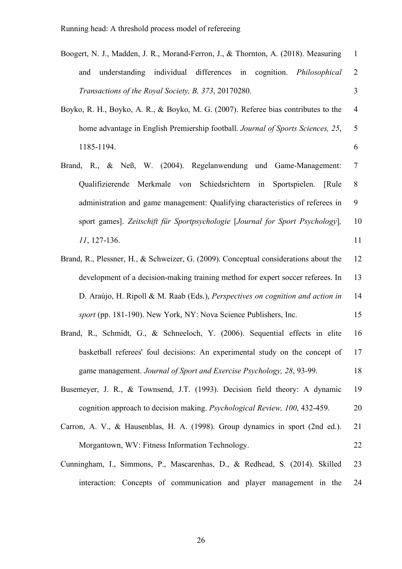| Boogert, N. J., Madden, J. R., Morand-Ferron, J., & Thornton, A. (2018). Measuring |     |                                                             |  |  |  |                                                                         |                |
|------------------------------------------------------------------------------------|-----|-------------------------------------------------------------|--|--|--|-------------------------------------------------------------------------|----------------|
|                                                                                    | and |                                                             |  |  |  | understanding individual differences in cognition. <i>Philosophical</i> | $\overline{2}$ |
|                                                                                    |     | <i>Transactions of the Royal Society, B, 373, 20170280.</i> |  |  |  |                                                                         |                |

- Boyko, R. H., Boyko, A. R., & Boyko, M. G. (2007). Referee bias contributes to the 4 home advantage in English Premiership football. *Journal of Sports Sciences, 25*, 5 1185-1194. 6
- Brand, R., & Neß, W. (2004). Regelanwendung und Game-Management: 7 Qualifizierende Merkmale von Schiedsrichtern in Sportspielen. [Rule 8 administration and game management: Qualifying characteristics of referees in 9 sport games]. *Zeitschift für Sportpsychologie* [*Journal for Sport Psychology*]*,* 10 *11*, 127-136. 11
- Brand, R., Plessner, H., & Schweizer, G. (2009). Conceptual considerations about the 12 development of a decision-making training method for expert soccer referees. In 13 D. Araújo, H. Ripoll & M. Raab (Eds.), *Perspectives on cognition and action in* 14 *sport* (pp. 181-190). New York, NY: Nova Science Publishers, Inc. 15
- Brand, R., Schmidt, G., & Schneeloch, Y. (2006). Sequential effects in elite 16 basketball referees' foul decisions: An experimental study on the concept of 17 game management. *Journal of Sport and Exercise Psychology, 28*, 93-99. 18
- Busemeyer, J. R., & Townsend, J.T. (1993). Decision field theory: A dynamic 19 cognition approach to decision making. *Psychological Review, 100*, 432-459. 20
- Carron, A. V., & Hausenblas, H. A. (1998). Group dynamics in sport (2nd ed.). 21 Morgantown, WV: Fitness Information Technology. 22
- Cunningham, I., Simmons, P., Mascarenhas, D., & Redhead, S. (2014). Skilled 23 interaction: Concepts of communication and player management in the 24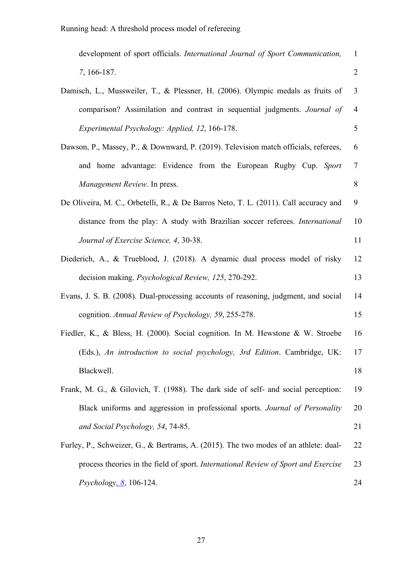| development of sport officials. International Journal of Sport Communication,        | $\mathbf{1}$   |  |  |
|--------------------------------------------------------------------------------------|----------------|--|--|
| 7, 166-187.                                                                          | $\overline{2}$ |  |  |
| Damisch, L., Mussweiler, T., & Plessner, H. (2006). Olympic medals as fruits of      | 3              |  |  |
| comparison? Assimilation and contrast in sequential judgments. Journal of            | $\overline{4}$ |  |  |
| Experimental Psychology: Applied, 12, 166-178.                                       | 5              |  |  |
| Dawson, P., Massey, P., & Downward, P. (2019). Television match officials, referees, | 6              |  |  |
| and home advantage: Evidence from the European Rugby Cup. Sport                      | $\overline{7}$ |  |  |
| Management Review. In press.                                                         | 8              |  |  |
| De Oliveira, M. C., Orbetelli, R., & De Barros Neto, T. L. (2011). Call accuracy and | 9              |  |  |
| distance from the play: A study with Brazilian soccer referees. International        | 10             |  |  |
| Journal of Exercise Science, 4, 30-38.                                               | 11             |  |  |
| Diederich, A., & Trueblood, J. (2018). A dynamic dual process model of risky         | 12             |  |  |
| decision making. <i>Psychological Review</i> , 125, 270-292.                         | 13             |  |  |
| Evans, J. S. B. (2008). Dual-processing accounts of reasoning, judgment, and social  | 14             |  |  |
| cognition. Annual Review of Psychology, 59, 255-278.                                 | 15             |  |  |
| Fiedler, K., & Bless, H. (2000). Social cognition. In M. Hewstone & W. Stroebe       | 16             |  |  |
| (Eds.), An introduction to social psychology, 3rd Edition. Cambridge, UK:            | 17             |  |  |
| Blackwell.                                                                           | 18             |  |  |
| Frank, M. G., & Gilovich, T. (1988). The dark side of self- and social perception:   | 19             |  |  |
| Black uniforms and aggression in professional sports. Journal of Personality         | 20             |  |  |
| and Social Psychology, 54, 74-85.                                                    | 21             |  |  |
| Furley, P., Schweizer, G., & Bertrams, A. (2015). The two modes of an athlete: dual- |                |  |  |
| process theories in the field of sport. International Review of Sport and Exercise   | 23             |  |  |
| Psychology, 8, 106-124.                                                              | 24             |  |  |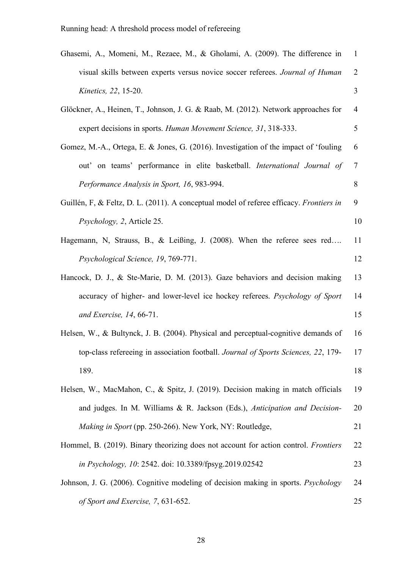| Ghasemi, A., Momeni, M., Rezaee, M., & Gholami, A. (2009). The difference in               | $\mathbf{1}$   |
|--------------------------------------------------------------------------------------------|----------------|
| visual skills between experts versus novice soccer referees. Journal of Human              | $\overline{2}$ |
| Kinetics, 22, 15-20.                                                                       | 3              |
| Glöckner, A., Heinen, T., Johnson, J. G. & Raab, M. (2012). Network approaches for         | 4              |
| expert decisions in sports. Human Movement Science, 31, 318-333.                           | 5              |
| Gomez, M.-A., Ortega, E. & Jones, G. (2016). Investigation of the impact of 'fouling       | 6              |
| out' on teams' performance in elite basketball. International Journal of                   | $\overline{7}$ |
| Performance Analysis in Sport, 16, 983-994.                                                | 8              |
| Guillén, F, & Feltz, D. L. (2011). A conceptual model of referee efficacy. Frontiers in    | 9              |
| <i>Psychology, 2, Article 25.</i>                                                          | 10             |
| Hagemann, N, Strauss, B., & Leißing, J. (2008). When the referee sees red                  | 11             |
| Psychological Science, 19, 769-771.                                                        | 12             |
| Hancock, D. J., & Ste-Marie, D. M. (2013). Gaze behaviors and decision making              | 13             |
| accuracy of higher- and lower-level ice hockey referees. Psychology of Sport               | 14             |
| and Exercise, 14, 66-71.                                                                   | 15             |
| Helsen, W., & Bultynck, J. B. (2004). Physical and perceptual-cognitive demands of         | 16             |
| top-class refereeing in association football. Journal of Sports Sciences, 22, 179-         | 17             |
| 189.                                                                                       | 18             |
| Helsen, W., MacMahon, C., & Spitz, J. (2019). Decision making in match officials           | 19             |
| and judges. In M. Williams & R. Jackson (Eds.), Anticipation and Decision-                 | 20             |
| <i>Making in Sport</i> (pp. 250-266). New York, NY: Routledge,                             | 21             |
| Hommel, B. (2019). Binary theorizing does not account for action control. <i>Frontiers</i> | 22             |
| in Psychology, 10: 2542. doi: 10.3389/fpsyg.2019.02542                                     | 23             |
| Johnson, J. G. (2006). Cognitive modeling of decision making in sports. Psychology         | 24             |
| of Sport and Exercise, 7, 631-652.                                                         | 25             |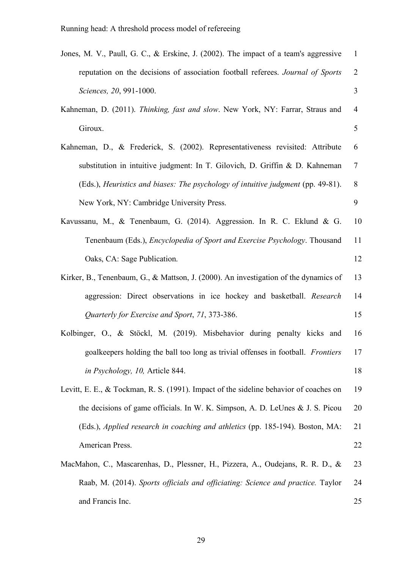| Jones, M. V., Paull, G. C., & Erskine, J. (2002). The impact of a team's aggressive   | $\mathbf{1}$   |
|---------------------------------------------------------------------------------------|----------------|
| reputation on the decisions of association football referees. Journal of Sports       | $\overline{2}$ |
| Sciences, 20, 991-1000.                                                               | 3              |
| Kahneman, D. (2011). Thinking, fast and slow. New York, NY: Farrar, Straus and        | $\overline{4}$ |
| Giroux.                                                                               | 5              |
| Kahneman, D., & Frederick, S. (2002). Representativeness revisited: Attribute         | 6              |
| substitution in intuitive judgment: In T. Gilovich, D. Griffin & D. Kahneman          | 7              |
| (Eds.), Heuristics and biases: The psychology of intuitive judgment (pp. 49-81).      | 8              |
| New York, NY: Cambridge University Press.                                             | 9              |
| Kavussanu, M., & Tenenbaum, G. (2014). Aggression. In R. C. Eklund & G.               | 10             |
| Tenenbaum (Eds.), <i>Encyclopedia of Sport and Exercise Psychology</i> . Thousand     | 11             |
| Oaks, CA: Sage Publication.                                                           | 12             |
| Kirker, B., Tenenbaum, G., & Mattson, J. (2000). An investigation of the dynamics of  | 13             |
| aggression: Direct observations in ice hockey and basketball. Research                | 14             |
| Quarterly for Exercise and Sport, 71, 373-386.                                        | 15             |
| Kolbinger, O., & Stöckl, M. (2019). Misbehavior during penalty kicks and              | 16             |
| goalkeepers holding the ball too long as trivial offenses in football. Frontiers      | 17             |
| in Psychology, 10, Article 844.                                                       | 18             |
| Levitt, E. E., & Tockman, R. S. (1991). Impact of the sideline behavior of coaches on | 19             |
| the decisions of game officials. In W. K. Simpson, A. D. LeUnes $& J. S. Picou$       | 20             |
| (Eds.), Applied research in coaching and athletics (pp. 185-194). Boston, MA:         | 21             |
| American Press.                                                                       | 22             |
| MacMahon, C., Mascarenhas, D., Plessner, H., Pizzera, A., Oudejans, R. R. D., &       | 23             |
| Raab, M. (2014). Sports officials and officiating: Science and practice. Taylor       | 24             |
| and Francis Inc.                                                                      | 25             |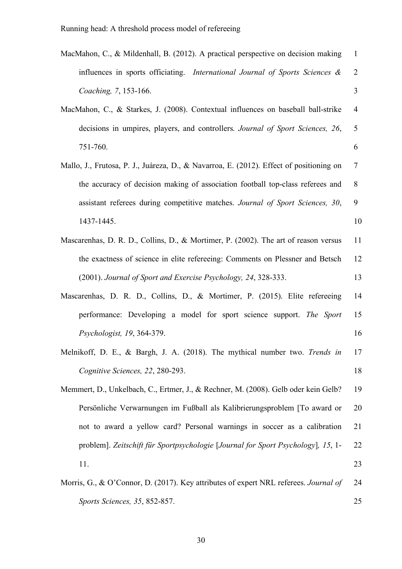| MacMahon, C., & Mildenhall, B. (2012). A practical perspective on decision making       | $\mathbf{1}$   |
|-----------------------------------------------------------------------------------------|----------------|
| influences in sports officiating. International Journal of Sports Sciences &            | $\overline{2}$ |
| Coaching, 7, 153-166.                                                                   | 3              |
| MacMahon, C., & Starkes, J. (2008). Contextual influences on baseball ball-strike       | $\overline{4}$ |
| decisions in umpires, players, and controllers. Journal of Sport Sciences, 26,          | 5              |
| 751-760.                                                                                | 6              |
| Mallo, J., Frutosa, P. J., Juáreza, D., & Navarroa, E. (2012). Effect of positioning on | 7              |
| the accuracy of decision making of association football top-class referees and          | 8              |
| assistant referees during competitive matches. Journal of Sport Sciences, 30,           | 9              |
| 1437-1445.                                                                              | 10             |
| Mascarenhas, D. R. D., Collins, D., & Mortimer, P. (2002). The art of reason versus     | 11             |
| the exactness of science in elite refereeing: Comments on Plessner and Betsch           | 12             |
| (2001). Journal of Sport and Exercise Psychology, 24, 328-333.                          | 13             |
| Mascarenhas, D. R. D., Collins, D., & Mortimer, P. (2015). Elite refereeing             | 14             |
| performance: Developing a model for sport science support. The Sport                    | 15             |
| Psychologist, 19, 364-379.                                                              | 16             |
| Melnikoff, D. E., & Bargh, J. A. (2018). The mythical number two. Trends in             | 17             |
| Cognitive Sciences, 22, 280-293.                                                        | 18             |
| Memmert, D., Unkelbach, C., Ertmer, J., & Rechner, M. (2008). Gelb oder kein Gelb?      | 19             |
| Persönliche Verwarnungen im Fußball als Kalibrierungsproblem [To award or               | 20             |
| not to award a yellow card? Personal warnings in soccer as a calibration                | 21             |
| problem]. Zeitschift für Sportpsychologie [Journal for Sport Psychology], 15, 1-        | 22             |
| 11.                                                                                     | 23             |
| Morris, G., & O'Connor, D. (2017). Key attributes of expert NRL referees. Journal of    | 24             |
| Sports Sciences, 35, 852-857.                                                           | 25             |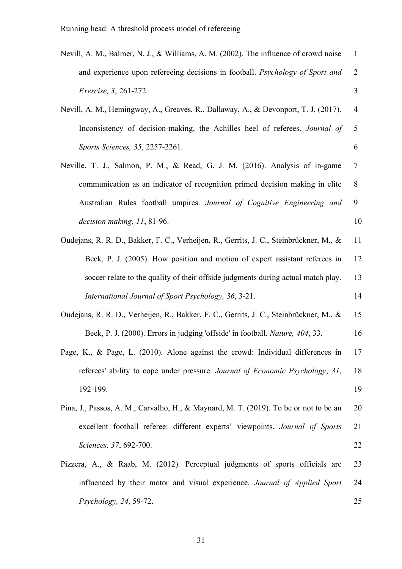| Nevill, A. M., Balmer, N. J., & Williams, A. M. (2002). The influence of crowd noise   | $\mathbf{1}$   |
|----------------------------------------------------------------------------------------|----------------|
| and experience upon refereeing decisions in football. Psychology of Sport and          | $\overline{2}$ |
| <i>Exercise</i> , 3, 261-272.                                                          | 3              |
| Nevill, A. M., Hemingway, A., Greaves, R., Dallaway, A., & Devonport, T. J. (2017).    | $\overline{4}$ |
| Inconsistency of decision-making, the Achilles heel of referees. Journal of            | 5              |
| Sports Sciences, 35, 2257-2261.                                                        | 6              |
| Neville, T. J., Salmon, P. M., & Read, G. J. M. (2016). Analysis of in-game            | $\overline{7}$ |
| communication as an indicator of recognition primed decision making in elite           | 8              |
| Australian Rules football umpires. Journal of Cognitive Engineering and                | 9              |
| decision making, 11, 81-96.                                                            | 10             |
| Oudejans, R. R. D., Bakker, F. C., Verheijen, R., Gerrits, J. C., Steinbrückner, M., & | 11             |
| Beek, P. J. (2005). How position and motion of expert assistant referees in            | 12             |
| soccer relate to the quality of their offside judgments during actual match play.      | 13             |
| International Journal of Sport Psychology, 36, 3-21.                                   | 14             |
| Oudejans, R. R. D., Verheijen, R., Bakker, F. C., Gerrits, J. C., Steinbrückner, M., & | 15             |
| Beek, P. J. (2000). Errors in judging 'offside' in football. Nature, 404, 33.          | 16             |
| Page, K., & Page, L. (2010). Alone against the crowd: Individual differences in        | 17             |
| referees' ability to cope under pressure. Journal of Economic Psychology, 31,          | 18             |
| 192-199.                                                                               | 19             |
| Pina, J., Passos, A. M., Carvalho, H., & Maynard, M. T. (2019). To be or not to be an  | 20             |
| excellent football referee: different experts' viewpoints. Journal of Sports           | 21             |
| Sciences, 37, 692-700.                                                                 | 22             |
| Pizzera, A., & Raab, M. (2012). Perceptual judgments of sports officials are           | 23             |
| influenced by their motor and visual experience. Journal of Applied Sport              | 24             |
| Psychology, 24, 59-72.                                                                 | 25             |
|                                                                                        |                |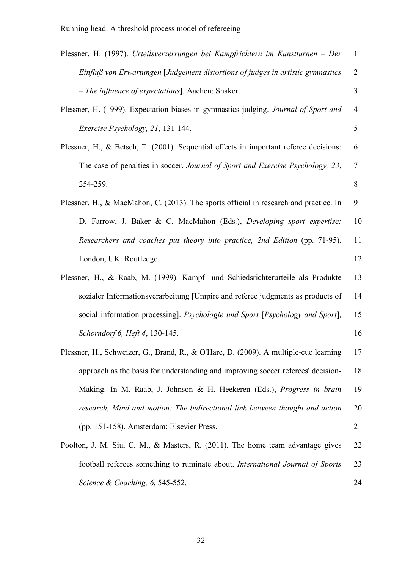| Plessner, H. (1997). Urteilsverzerrungen bei Kampfrichtern im Kunstturnen – Der       | $\mathbf{1}$   |
|---------------------------------------------------------------------------------------|----------------|
| Einfluß von Erwartungen [Judgement distortions of judges in artistic gymnastics       | $\overline{2}$ |
| - The influence of expectations]. Aachen: Shaker.                                     | 3              |
| Plessner, H. (1999). Expectation biases in gymnastics judging. Journal of Sport and   | $\overline{4}$ |
| Exercise Psychology, 21, 131-144.                                                     | 5              |
| Plessner, H., & Betsch, T. (2001). Sequential effects in important referee decisions: | 6              |
| The case of penalties in soccer. Journal of Sport and Exercise Psychology, 23,        | $\overline{7}$ |
| 254-259.                                                                              | 8              |
| Plessner, H., & MacMahon, C. (2013). The sports official in research and practice. In | 9              |
| D. Farrow, J. Baker & C. MacMahon (Eds.), Developing sport expertise:                 | 10             |
| Researchers and coaches put theory into practice, 2nd Edition (pp. 71-95),            | 11             |
| London, UK: Routledge.                                                                | 12             |
| Plessner, H., & Raab, M. (1999). Kampf- und Schiedsrichterurteile als Produkte        | 13             |
| sozialer Informationsverarbeitung [Umpire and referee judgments as products of        | 14             |
| social information processing]. Psychologie und Sport [Psychology and Sport],         | 15             |
| Schorndorf 6, Heft 4, 130-145.                                                        | 16             |
| Plessner, H., Schweizer, G., Brand, R., & O'Hare, D. (2009). A multiple-cue learning  | 17             |
| approach as the basis for understanding and improving soccer referees' decision-      | 18             |
| Making. In M. Raab, J. Johnson & H. Heekeren (Eds.), Progress in brain                | 19             |
| research, Mind and motion: The bidirectional link between thought and action          | 20             |
| (pp. 151-158). Amsterdam: Elsevier Press.                                             | 21             |
| Poolton, J. M. Siu, C. M., & Masters, R. (2011). The home team advantage gives        | 22             |
| football referees something to ruminate about. International Journal of Sports        | 23             |
| Science & Coaching, 6, 545-552.                                                       | 24             |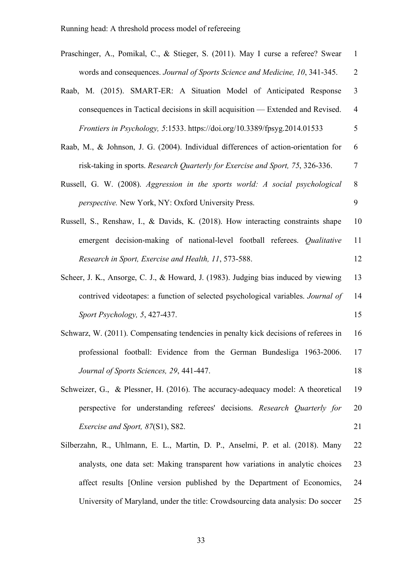| Praschinger, A., Pomikal, C., & Stieger, S. (2011). May I curse a referee? Swear     | $\mathbf{1}$   |
|--------------------------------------------------------------------------------------|----------------|
| words and consequences. Journal of Sports Science and Medicine, 10, 341-345.         | $\overline{2}$ |
| Raab, M. (2015). SMART-ER: A Situation Model of Anticipated Response                 | 3              |
| consequences in Tactical decisions in skill acquisition — Extended and Revised.      | $\overline{4}$ |
| Frontiers in Psychology, 5:1533. https://doi.org/10.3389/fpsyg.2014.01533            | 5              |
| Raab, M., & Johnson, J. G. (2004). Individual differences of action-orientation for  | 6              |
| risk-taking in sports. Research Quarterly for Exercise and Sport, 75, 326-336.       | 7              |
| Russell, G. W. (2008). Aggression in the sports world: A social psychological        | 8              |
| perspective. New York, NY: Oxford University Press.                                  | 9              |
| Russell, S., Renshaw, I., & Davids, K. (2018). How interacting constraints shape     | 10             |
| emergent decision-making of national-level football referees. Qualitative            | 11             |
| Research in Sport, Exercise and Health, 11, 573-588.                                 | 12             |
| Scheer, J. K., Ansorge, C. J., & Howard, J. (1983). Judging bias induced by viewing  | 13             |
| contrived videotapes: a function of selected psychological variables. Journal of     | 14             |
| Sport Psychology, 5, 427-437.                                                        | 15             |
| Schwarz, W. (2011). Compensating tendencies in penalty kick decisions of referees in | 16             |
| professional football: Evidence from the German Bundesliga 1963-2006.                | 17             |
| Journal of Sports Sciences, 29, 441-447.                                             | 18             |
| Schweizer, G., & Plessner, H. (2016). The accuracy-adequacy model: A theoretical     | 19             |
| perspective for understanding referees' decisions. Research Quarterly for            | 20             |
| Exercise and Sport, 87(S1), S82.                                                     | 21             |
| Silberzahn, R., Uhlmann, E. L., Martin, D. P., Anselmi, P. et al. (2018). Many       | 22             |
| analysts, one data set: Making transparent how variations in analytic choices        | 23             |
| affect results [Online version published by the Department of Economics,             | 24             |
| University of Maryland, under the title: Crowdsourcing data analysis: Do soccer      | 25             |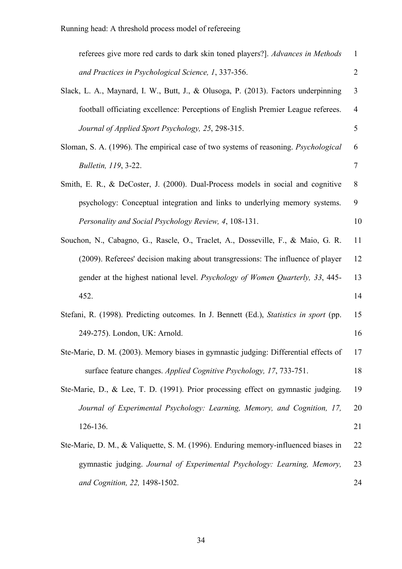| referees give more red cards to dark skin toned players?]. Advances in Methods         | 1              |
|----------------------------------------------------------------------------------------|----------------|
| and Practices in Psychological Science, 1, 337-356.                                    | $\overline{2}$ |
| Slack, L. A., Maynard, I. W., Butt, J., & Olusoga, P. (2013). Factors underpinning     | 3              |
| football officiating excellence: Perceptions of English Premier League referees.       | $\overline{4}$ |
| Journal of Applied Sport Psychology, 25, 298-315.                                      | 5              |
| Sloman, S. A. (1996). The empirical case of two systems of reasoning. Psychological    | 6              |
| Bulletin, 119, 3-22.                                                                   | 7              |
| Smith, E. R., & DeCoster, J. (2000). Dual-Process models in social and cognitive       | 8              |
| psychology: Conceptual integration and links to underlying memory systems.             | 9              |
| Personality and Social Psychology Review, 4, 108-131.                                  | 10             |
| Souchon, N., Cabagno, G., Rascle, O., Traclet, A., Dosseville, F., & Maio, G. R.       | 11             |
| (2009). Referees' decision making about transgressions: The influence of player        | 12             |
| gender at the highest national level. Psychology of Women Quarterly, 33, 445-          | 13             |
| 452.                                                                                   | 14             |
| Stefani, R. (1998). Predicting outcomes. In J. Bennett (Ed.), Statistics in sport (pp. | 15             |
| 249-275). London, UK: Arnold.                                                          | 16             |
| Ste-Marie, D. M. (2003). Memory biases in gymnastic judging: Differential effects of   | 17             |
| surface feature changes. Applied Cognitive Psychology, 17, 733-751.                    | 18             |
| Ste-Marie, D., & Lee, T. D. (1991). Prior processing effect on gymnastic judging.      | 19             |
| Journal of Experimental Psychology: Learning, Memory, and Cognition, 17,               | 20             |
| 126-136.                                                                               | 21             |
| Ste-Marie, D. M., & Valiquette, S. M. (1996). Enduring memory-influenced biases in     | 22             |
| gymnastic judging. Journal of Experimental Psychology: Learning, Memory,               | 23             |
| and Cognition, 22, 1498-1502.                                                          | 24             |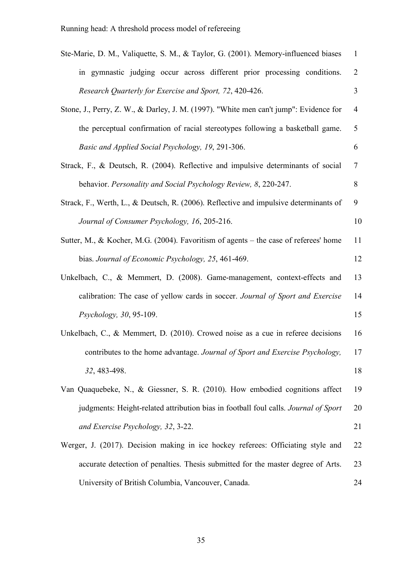| Ste-Marie, D. M., Valiquette, S. M., & Taylor, G. (2001). Memory-influenced biases    | $\mathbf{1}$   |  |  |  |  |
|---------------------------------------------------------------------------------------|----------------|--|--|--|--|
| in gymnastic judging occur across different prior processing conditions.              | $\overline{2}$ |  |  |  |  |
| Research Quarterly for Exercise and Sport, 72, 420-426.                               | 3              |  |  |  |  |
| Stone, J., Perry, Z. W., & Darley, J. M. (1997). "White men can't jump": Evidence for |                |  |  |  |  |
| the perceptual confirmation of racial stereotypes following a basketball game.        | 5              |  |  |  |  |
| Basic and Applied Social Psychology, 19, 291-306.                                     | 6              |  |  |  |  |
| Strack, F., & Deutsch, R. (2004). Reflective and impulsive determinants of social     |                |  |  |  |  |
| behavior. Personality and Social Psychology Review, 8, 220-247.                       |                |  |  |  |  |
| Strack, F., Werth, L., & Deutsch, R. (2006). Reflective and impulsive determinants of | 9              |  |  |  |  |
| Journal of Consumer Psychology, 16, 205-216.                                          | 10             |  |  |  |  |
| Sutter, M., & Kocher, M.G. (2004). Favoritism of agents – the case of referees' home  | 11             |  |  |  |  |
| bias. Journal of Economic Psychology, 25, 461-469.                                    | 12             |  |  |  |  |
| Unkelbach, C., & Memmert, D. (2008). Game-management, context-effects and             | 13             |  |  |  |  |
| calibration: The case of yellow cards in soccer. Journal of Sport and Exercise        | 14             |  |  |  |  |
| Psychology, 30, 95-109.                                                               | 15             |  |  |  |  |
| Unkelbach, C., & Memmert, D. (2010). Crowed noise as a cue in referee decisions       | 16             |  |  |  |  |
| contributes to the home advantage. Journal of Sport and Exercise Psychology,          | 17             |  |  |  |  |
| 32, 483-498.                                                                          | 18             |  |  |  |  |
| Van Quaquebeke, N., & Giessner, S. R. (2010). How embodied cognitions affect          | 19             |  |  |  |  |
| judgments: Height-related attribution bias in football foul calls. Journal of Sport   | 20             |  |  |  |  |
| and Exercise Psychology, 32, 3-22.                                                    | 21             |  |  |  |  |
| Werger, J. (2017). Decision making in ice hockey referees: Officiating style and      | 22             |  |  |  |  |
| accurate detection of penalties. Thesis submitted for the master degree of Arts.      | 23             |  |  |  |  |
| University of British Columbia, Vancouver, Canada.                                    | 24             |  |  |  |  |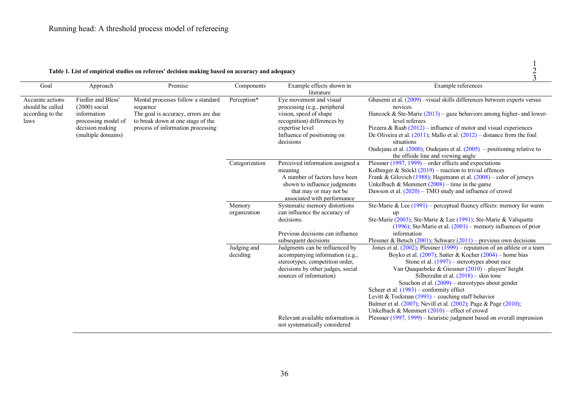| Table 1. List of empirical studies on referees' decision making based on accuracy and adequacy |  |
|------------------------------------------------------------------------------------------------|--|
|                                                                                                |  |

|                                      |                                       |                                                                           |                         |                                                                    |                                                                                                                                                     | 3 |
|--------------------------------------|---------------------------------------|---------------------------------------------------------------------------|-------------------------|--------------------------------------------------------------------|-----------------------------------------------------------------------------------------------------------------------------------------------------|---|
| Goal                                 | Approach                              | Premise                                                                   | Components              | Example effects shown in<br>literature                             | Example references                                                                                                                                  |   |
| Accurate actions<br>should be called | Fiedler and Bless'<br>$(2000)$ social | Mental processes follow a standard<br>sequence                            | Perception*             | Eye movement and visual<br>processing (e.g., peripheral            | Ghasemi et al. $(2009)$ -visual skills differences between experts versus<br>novices                                                                |   |
| according to the<br>laws             | information<br>processing model of    | The goal is accuracy, errors are due<br>to break down at one stage of the |                         | vision, speed of shape<br>recognition) differences by              | Hancock & Ste-Marie $(2013)$ – gaze behaviors among higher- and lower-<br>level referees                                                            |   |
|                                      | decision making<br>(multiple domains) | process of information processing                                         |                         | expertise level<br>Influence of positioning on                     | Pizzera & Raab $(2012)$ – influence of motor and visual experiences<br>De Oliveira et al. $(2011)$ ; Mallo et al. $(2012)$ – distance from the foul |   |
|                                      |                                       |                                                                           |                         | decisions                                                          | situations<br>Oudejans et al. $(2000)$ ; Oudejans et al. $(2005)$ – positioning relative to                                                         |   |
|                                      |                                       |                                                                           |                         |                                                                    | the offside line and viewing angle                                                                                                                  |   |
|                                      |                                       |                                                                           | Categorization          | Perceived information assigned a<br>meaning                        | Plessner $(1997, 1999)$ – order effects and expectations<br>Kolbinger & Stöckl $(2019)$ – reaction to trivial offences                              |   |
|                                      |                                       |                                                                           |                         | A number of factors have been                                      | Frank & Gilovich (1988); Hagemann et al. $(2008)$ – color of jerseys                                                                                |   |
|                                      |                                       |                                                                           |                         | shown to influence judgments<br>that may or may not be             | Unkelbach & Memmert $(2008)$ – time in the game<br>Dawson et al. $(2020)$ – TMO study and influence of crowd                                        |   |
|                                      |                                       |                                                                           |                         | associated with performance                                        |                                                                                                                                                     |   |
|                                      |                                       |                                                                           | Memory<br>organization  | Systematic memory distortions<br>can influence the accuracy of     | Ste-Marie & Lee $(1991)$ – perceptual fluency effects: memory for warm<br>up                                                                        |   |
|                                      |                                       |                                                                           |                         | decisions.                                                         | Ste-Marie (2003); Ste-Marie & Lee (1991); Ste-Marie & Valiquette                                                                                    |   |
|                                      |                                       |                                                                           |                         | Previous decisions can influence                                   | $(1996)$ ; Ste-Marie et al. $(2001)$ – memory influences of prior<br>information                                                                    |   |
|                                      |                                       |                                                                           |                         | subsequent decisions                                               | Plessner & Betsch (2001); Schwarz (2011) – previous own decisions                                                                                   |   |
|                                      |                                       |                                                                           | Judging and<br>deciding | Judgments can be influenced by<br>accompanying information (e.g.,  | Jones et al. $(2002)$ ; Plessner $(1999)$ – reputation of an athlete or a team<br>Boyko et al. $(2007)$ ; Sutter & Kocher $(2004)$ – home bias      |   |
|                                      |                                       |                                                                           |                         | stereotypes, competition order,                                    | Stone et al. $(1997)$ – stereotypes about race                                                                                                      |   |
|                                      |                                       |                                                                           |                         | decisions by other judges, social<br>sources of information)       | Van Quaquebeke & Giessner $(2010)$ – players' height<br>Silberzahn et al. $(2018)$ – skin tone                                                      |   |
|                                      |                                       |                                                                           |                         |                                                                    | Souchon et al. $(2009)$ – stereotypes about gender                                                                                                  |   |
|                                      |                                       |                                                                           |                         |                                                                    | Scheer et al. $(1983)$ – conformity effect<br>Levitt & Tockman $(1991)$ – coaching staff behavior                                                   |   |
|                                      |                                       |                                                                           |                         |                                                                    | Balmer et al. (2007); Nevill et al. (2002); Page & Page (2010);<br>Unkelbach & Memmert $(2010)$ – effect of crowd                                   |   |
|                                      |                                       |                                                                           |                         | Relevant available information is<br>not systematically considered | Plessner $(1997, 1999)$ – heuristic judgment based on overall impression                                                                            |   |

1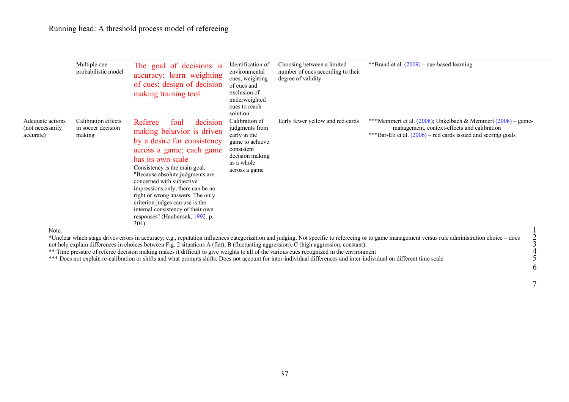|                                                   | Multiple cue<br>probabilistic model                 | The goal of decisions is<br>accuracy: learn weighting<br>of cues; design of decision<br>making training tool                                                                                                                                                                                                                                                                                                                          | Identification of<br>environmental<br>cues, weighting<br>of cues and<br>exclusion of<br>underweighted<br>cues to reach<br>solution  | Choosing between a limited<br>number of cues according to their<br>degree of validity | **Brand et al. $(2009)$ – cue-based learning                                                                                                                                        |  |
|---------------------------------------------------|-----------------------------------------------------|---------------------------------------------------------------------------------------------------------------------------------------------------------------------------------------------------------------------------------------------------------------------------------------------------------------------------------------------------------------------------------------------------------------------------------------|-------------------------------------------------------------------------------------------------------------------------------------|---------------------------------------------------------------------------------------|-------------------------------------------------------------------------------------------------------------------------------------------------------------------------------------|--|
| Adequate actions<br>(not necessarily<br>accurate) | Calibration effects<br>in soccer decision<br>making | foul<br>decision<br>Referee<br>making behavior is driven<br>by a desire for consistency<br>across a game; each game<br>has its own scale<br>Consistency is the main goal.<br>"Because absolute judgments are<br>concerned with subjective<br>impressions only, there can be no<br>right or wrong answers. The only<br>criterion judges can use is the<br>internal consistency of their own<br>responses" (Haubensak, 1992, p.<br>304) | Calibration of<br>judgments from<br>early in the<br>game to achieve<br>consistent<br>decision making<br>as a whole<br>across a game | Early fewer yellow and red cards                                                      | ***Memmert et al. $(2008)$ ; Unkelbach & Memmert $(2008)$ – game-<br>management, context-effects and calibration<br>***Bar-Eli et al. $(2006)$ – red cards issued and scoring goals |  |
| Note:                                             |                                                     |                                                                                                                                                                                                                                                                                                                                                                                                                                       |                                                                                                                                     |                                                                                       |                                                                                                                                                                                     |  |

\*Unclear which stage drives errors in accuracy; e.g., reputation influences categorization and judging. Not specific to refereeing or to game management versus rule administration choice – does 2 not help explain differences in choices between Fig. 2 situations A (flat), B (fluctuating aggression), C (high aggression, constant). \*\* Time pressure of referee decision making makes it difficult to give weights to all of the various cues recognized in the environment 4

6

7

\*\*\* Does not explain re-calibration or shifts and what prompts shifts. Does not account for inter-individual differences and inter-individual on different time scale 5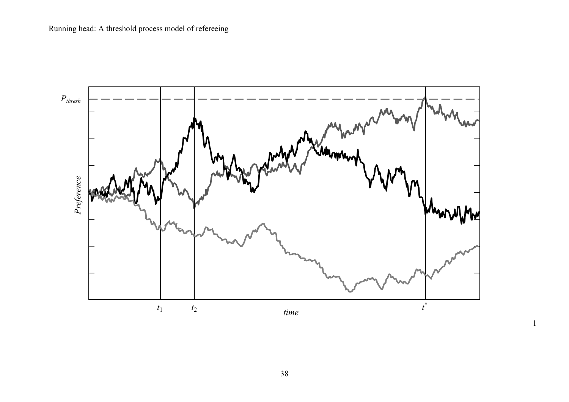